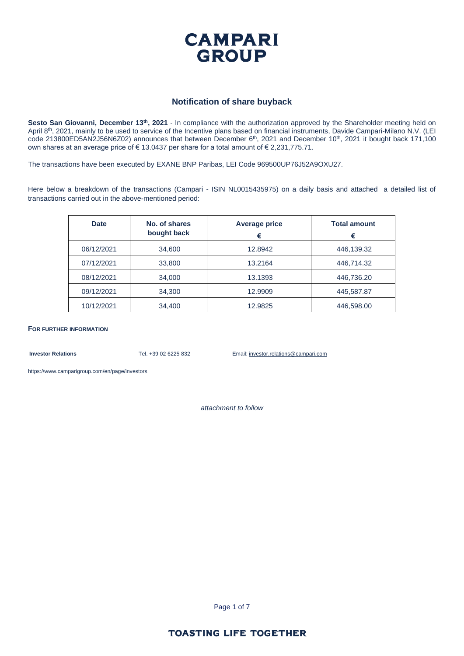

#### **Notification of share buyback**

**Sesto San Giovanni, December 13th, 2021** - In compliance with the authorization approved by the Shareholder meeting held on April 8<sup>th</sup>, 2021, mainly to be used to service of the Incentive plans based on financial instruments, Davide Campari-Milano N.V. (LEI code 213800ED5AN2J56N6Z02) announces that between December 6<sup>th</sup>, 2021 and December 10<sup>th</sup>, 2021 it bought back 171,100 own shares at an average price of € 13.0437 per share for a total amount of € 2,231,775.71.

The transactions have been executed by EXANE BNP Paribas, LEI Code 969500UP76J52A9OXU27.

Here below a breakdown of the transactions (Campari - ISIN NL0015435975) on a daily basis and attached a detailed list of transactions carried out in the above-mentioned period:

| <b>Date</b> | No. of shares<br>bought back | <b>Average price</b><br>€ | <b>Total amount</b><br>€ |
|-------------|------------------------------|---------------------------|--------------------------|
| 06/12/2021  | 34,600                       | 12.8942                   | 446,139.32               |
| 07/12/2021  | 33,800                       | 13.2164                   | 446,714.32               |
| 08/12/2021  | 34,000                       | 13.1393                   | 446,736.20               |
| 09/12/2021  | 34,300                       | 12.9909                   | 445,587.87               |
| 10/12/2021  | 34,400                       | 12.9825                   | 446,598.00               |

**FOR FURTHER INFORMATION**

**Investor Relations** Tel. +39 02 6225 832 Email: investor.relations@campari.com

[https://www.camparigroup.com/en/page/investors](https://urldefense.proofpoint.com/v2/url?u=https-3A__www.camparigroup.com_en_page_investors&d=DwMFAw&c=XYrWdXnqoGVNRPOyUELP3IXCOEKnVf1zLk3mv6_0vws&r=7duvdfu-gIaiPrAcF5cMQ3C7k4ExOdDC_HToaoAPHZI&m=owk4gVJoOX0Y5PzcaCnrKyxdIRMNjFCG63QhVPH7AUk&s=iCu7Kfnsxig867VkmNLTca3aRN9CMoJdPlGaK-6pYP8&e=)

*attachment to follow*

Page 1 of 7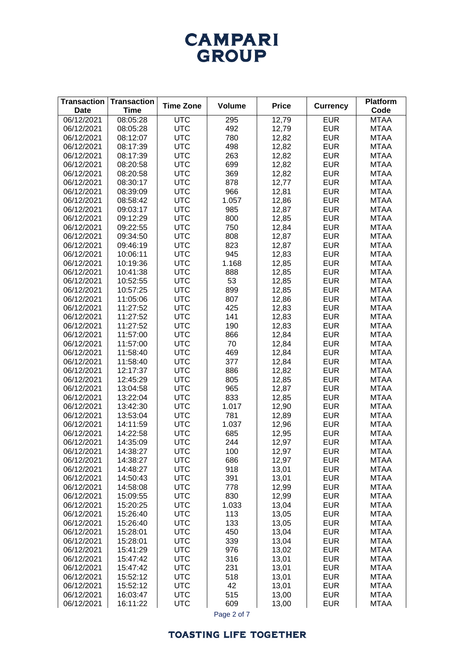# **CAMPARI** GROUP

| <b>Transaction</b><br><b>Date</b> | <b>Transaction</b><br><b>Time</b> | <b>Time Zone</b>         | <b>Volume</b> | <b>Price</b>   | <b>Currency</b>          | <b>Platform</b><br>Code    |
|-----------------------------------|-----------------------------------|--------------------------|---------------|----------------|--------------------------|----------------------------|
| 06/12/2021                        | 08:05:28                          | <b>UTC</b>               | 295           | 12,79          | <b>EUR</b>               | <b>MTAA</b>                |
| 06/12/2021                        | 08:05:28                          | <b>UTC</b>               | 492           | 12,79          | <b>EUR</b>               | <b>MTAA</b>                |
| 06/12/2021                        | 08:12:07                          | <b>UTC</b>               | 780           | 12,82          | <b>EUR</b>               | <b>MTAA</b>                |
| 06/12/2021                        | 08:17:39                          | <b>UTC</b>               | 498           | 12,82          | <b>EUR</b>               | <b>MTAA</b>                |
| 06/12/2021                        | 08:17:39                          | <b>UTC</b>               | 263           | 12,82          | <b>EUR</b>               | <b>MTAA</b>                |
| 06/12/2021                        | 08:20:58                          | <b>UTC</b>               | 699           | 12,82          | <b>EUR</b>               | <b>MTAA</b>                |
| 06/12/2021                        | 08:20:58                          | <b>UTC</b>               | 369           | 12,82          | <b>EUR</b>               | <b>MTAA</b>                |
| 06/12/2021                        | 08:30:17                          | <b>UTC</b>               | 878           | 12,77          | <b>EUR</b>               | <b>MTAA</b>                |
| 06/12/2021                        | 08:39:09                          | <b>UTC</b>               | 966           | 12,81          | <b>EUR</b>               | <b>MTAA</b>                |
| 06/12/2021                        | 08:58:42                          | <b>UTC</b>               | 1.057         | 12,86          | <b>EUR</b>               | <b>MTAA</b>                |
| 06/12/2021                        | 09:03:17                          | <b>UTC</b>               | 985           | 12,87          | <b>EUR</b>               | <b>MTAA</b>                |
| 06/12/2021                        | 09:12:29                          | <b>UTC</b>               | 800           | 12,85          | <b>EUR</b>               | <b>MTAA</b>                |
| 06/12/2021                        | 09:22:55                          | <b>UTC</b>               | 750           | 12,84          | <b>EUR</b>               | <b>MTAA</b>                |
| 06/12/2021                        | 09:34:50                          | <b>UTC</b>               | 808           | 12,87          | <b>EUR</b>               | <b>MTAA</b>                |
| 06/12/2021                        | 09:46:19                          | <b>UTC</b>               | 823           | 12,87          | <b>EUR</b>               | <b>MTAA</b>                |
| 06/12/2021                        | 10:06:11                          | <b>UTC</b>               | 945           | 12,83          | <b>EUR</b>               | <b>MTAA</b>                |
| 06/12/2021                        | 10:19:36                          | <b>UTC</b>               | 1.168         | 12,85          | <b>EUR</b>               | <b>MTAA</b>                |
| 06/12/2021                        | 10:41:38                          | <b>UTC</b>               | 888           | 12,85          | <b>EUR</b>               | <b>MTAA</b>                |
| 06/12/2021                        | 10:52:55                          | <b>UTC</b>               | 53            | 12,85          | <b>EUR</b>               | <b>MTAA</b>                |
| 06/12/2021                        | 10:57:25                          | <b>UTC</b>               | 899           | 12,85          | <b>EUR</b>               | <b>MTAA</b>                |
| 06/12/2021                        | 11:05:06                          | <b>UTC</b>               | 807           | 12,86          | <b>EUR</b>               | <b>MTAA</b>                |
| 06/12/2021                        | 11:27:52                          | <b>UTC</b>               | 425           | 12,83          | <b>EUR</b>               | <b>MTAA</b>                |
| 06/12/2021                        | 11:27:52                          | <b>UTC</b>               | 141           | 12,83          | <b>EUR</b>               | <b>MTAA</b>                |
| 06/12/2021                        | 11:27:52                          | <b>UTC</b>               | 190           | 12,83          | <b>EUR</b>               | <b>MTAA</b>                |
| 06/12/2021                        | 11:57:00                          | <b>UTC</b>               | 866           | 12,84          | <b>EUR</b>               | <b>MTAA</b>                |
| 06/12/2021                        | 11:57:00                          | <b>UTC</b>               | 70            | 12,84          | <b>EUR</b>               | <b>MTAA</b>                |
| 06/12/2021                        | 11:58:40                          | <b>UTC</b>               | 469           | 12,84          | <b>EUR</b>               | <b>MTAA</b>                |
| 06/12/2021                        | 11:58:40                          | <b>UTC</b>               | 377           | 12,84          | <b>EUR</b>               | <b>MTAA</b>                |
| 06/12/2021                        | 12:17:37                          | <b>UTC</b>               | 886           | 12,82          | <b>EUR</b>               | <b>MTAA</b>                |
| 06/12/2021                        | 12:45:29                          | <b>UTC</b>               | 805           | 12,85          | <b>EUR</b>               | <b>MTAA</b>                |
| 06/12/2021                        | 13:04:58                          | <b>UTC</b>               | 965           | 12,87          | <b>EUR</b>               | <b>MTAA</b>                |
| 06/12/2021                        | 13:22:04                          | <b>UTC</b>               | 833           | 12,85          | <b>EUR</b>               | <b>MTAA</b>                |
| 06/12/2021                        | 13:42:30                          | <b>UTC</b>               | 1.017         | 12,90          | <b>EUR</b>               | <b>MTAA</b>                |
| 06/12/2021                        | 13:53:04                          | <b>UTC</b>               | 781           | 12,89          | <b>EUR</b>               | <b>MTAA</b>                |
| 06/12/2021                        | 14:11:59                          | <b>UTC</b>               | 1.037         | 12,96          | <b>EUR</b>               | <b>MTAA</b>                |
| 06/12/2021                        | 14:22:58                          | <b>UTC</b>               | 685           | 12,95          | <b>EUR</b>               | <b>MTAA</b>                |
| 06/12/2021                        | 14:35:09                          | <b>UTC</b>               | 244           | 12,97          | <b>EUR</b>               | <b>MTAA</b>                |
| 06/12/2021                        | 14:38:27                          | <b>UTC</b>               | 100           | 12,97          | <b>EUR</b>               | <b>MTAA</b>                |
| 06/12/2021                        | 14:38:27                          | <b>UTC</b>               | 686           | 12,97          | <b>EUR</b>               | <b>MTAA</b>                |
| 06/12/2021                        | 14:48:27                          | <b>UTC</b>               | 918           | 13,01          | <b>EUR</b>               | <b>MTAA</b>                |
| 06/12/2021                        | 14:50:43                          | <b>UTC</b>               | 391           | 13,01          | <b>EUR</b>               | <b>MTAA</b>                |
| 06/12/2021                        | 14:58:08                          | <b>UTC</b>               | 778           | 12,99          | <b>EUR</b>               | <b>MTAA</b>                |
| 06/12/2021                        | 15:09:55                          | <b>UTC</b>               | 830           | 12,99          | <b>EUR</b>               | <b>MTAA</b>                |
| 06/12/2021                        | 15:20:25                          | <b>UTC</b>               | 1.033         | 13,04          | <b>EUR</b>               | <b>MTAA</b>                |
| 06/12/2021                        | 15:26:40                          | <b>UTC</b>               | 113           | 13,05          | <b>EUR</b>               | <b>MTAA</b>                |
| 06/12/2021                        | 15:26:40                          | <b>UTC</b>               | 133           | 13,05          | <b>EUR</b>               | <b>MTAA</b>                |
| 06/12/2021<br>06/12/2021          | 15:28:01<br>15:28:01              | <b>UTC</b><br><b>UTC</b> | 450<br>339    | 13,04<br>13,04 | <b>EUR</b><br><b>EUR</b> | <b>MTAA</b><br><b>MTAA</b> |
| 06/12/2021                        | 15:41:29                          | <b>UTC</b>               | 976           | 13,02          | <b>EUR</b>               | <b>MTAA</b>                |
| 06/12/2021                        | 15:47:42                          | <b>UTC</b>               | 316           | 13,01          | <b>EUR</b>               | <b>MTAA</b>                |
| 06/12/2021                        | 15:47:42                          | <b>UTC</b>               | 231           | 13,01          | <b>EUR</b>               | <b>MTAA</b>                |
| 06/12/2021                        | 15:52:12                          | <b>UTC</b>               | 518           | 13,01          | <b>EUR</b>               | <b>MTAA</b>                |
| 06/12/2021                        | 15:52:12                          | <b>UTC</b>               | 42            | 13,01          | <b>EUR</b>               | <b>MTAA</b>                |
| 06/12/2021                        | 16:03:47                          | <b>UTC</b>               | 515           | 13,00          | <b>EUR</b>               | <b>MTAA</b>                |
| 06/12/2021                        | 16:11:22                          | <b>UTC</b>               | 609           | 13,00          | <b>EUR</b>               | <b>MTAA</b>                |

Page 2 of 7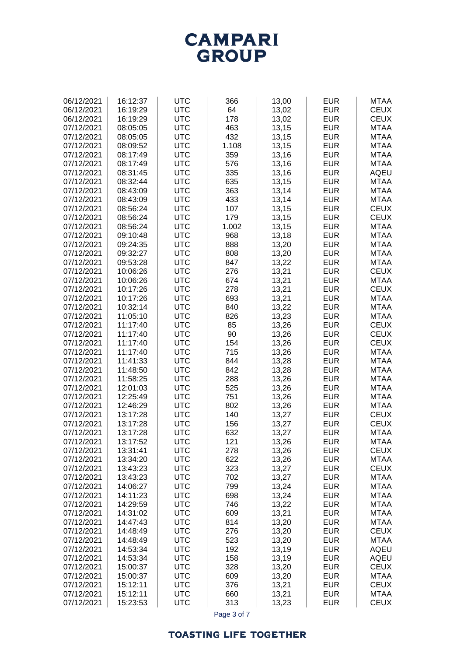

| 06/12/2021 | 16:12:37 | <b>UTC</b> | 366   | 13,00 | <b>EUR</b> | <b>MTAA</b> |
|------------|----------|------------|-------|-------|------------|-------------|
| 06/12/2021 | 16:19:29 | <b>UTC</b> | 64    | 13,02 | <b>EUR</b> | <b>CEUX</b> |
|            |          |            |       |       |            |             |
| 06/12/2021 | 16:19:29 | <b>UTC</b> | 178   | 13,02 | <b>EUR</b> | <b>CEUX</b> |
| 07/12/2021 | 08:05:05 | <b>UTC</b> | 463   | 13,15 | <b>EUR</b> | <b>MTAA</b> |
| 07/12/2021 | 08:05:05 | <b>UTC</b> | 432   | 13,15 | <b>EUR</b> | <b>MTAA</b> |
| 07/12/2021 | 08:09:52 | <b>UTC</b> | 1.108 | 13,15 | <b>EUR</b> | <b>MTAA</b> |
| 07/12/2021 | 08:17:49 | <b>UTC</b> | 359   | 13,16 | <b>EUR</b> | <b>MTAA</b> |
| 07/12/2021 | 08:17:49 | <b>UTC</b> | 576   | 13,16 | <b>EUR</b> | <b>MTAA</b> |
|            |          |            |       |       |            |             |
| 07/12/2021 | 08:31:45 | <b>UTC</b> | 335   | 13,16 | <b>EUR</b> | <b>AQEU</b> |
| 07/12/2021 | 08:32:44 | <b>UTC</b> | 635   | 13,15 | <b>EUR</b> | <b>MTAA</b> |
| 07/12/2021 | 08:43:09 | <b>UTC</b> | 363   | 13,14 | <b>EUR</b> | <b>MTAA</b> |
| 07/12/2021 | 08:43:09 | <b>UTC</b> | 433   | 13,14 | <b>EUR</b> | <b>MTAA</b> |
| 07/12/2021 | 08:56:24 | <b>UTC</b> | 107   | 13,15 | <b>EUR</b> | <b>CEUX</b> |
| 07/12/2021 | 08:56:24 | <b>UTC</b> | 179   | 13,15 | <b>EUR</b> | <b>CEUX</b> |
| 07/12/2021 | 08:56:24 | <b>UTC</b> | 1.002 | 13,15 | <b>EUR</b> | <b>MTAA</b> |
|            |          |            |       |       |            |             |
| 07/12/2021 | 09:10:48 | <b>UTC</b> | 968   | 13,18 | <b>EUR</b> | <b>MTAA</b> |
| 07/12/2021 | 09:24:35 | <b>UTC</b> | 888   | 13,20 | <b>EUR</b> | <b>MTAA</b> |
| 07/12/2021 | 09:32:27 | <b>UTC</b> | 808   | 13,20 | <b>EUR</b> | <b>MTAA</b> |
| 07/12/2021 | 09:53:28 | <b>UTC</b> | 847   | 13,22 | <b>EUR</b> | <b>MTAA</b> |
| 07/12/2021 | 10:06:26 | <b>UTC</b> | 276   | 13,21 | <b>EUR</b> | <b>CEUX</b> |
| 07/12/2021 | 10:06:26 | <b>UTC</b> | 674   | 13,21 | <b>EUR</b> | <b>MTAA</b> |
| 07/12/2021 | 10:17:26 | <b>UTC</b> | 278   | 13,21 | <b>EUR</b> | <b>CEUX</b> |
| 07/12/2021 | 10:17:26 | <b>UTC</b> | 693   | 13,21 | <b>EUR</b> | <b>MTAA</b> |
|            |          |            |       |       |            |             |
| 07/12/2021 | 10:32:14 | <b>UTC</b> | 840   | 13,22 | <b>EUR</b> | <b>MTAA</b> |
| 07/12/2021 | 11:05:10 | <b>UTC</b> | 826   | 13,23 | <b>EUR</b> | <b>MTAA</b> |
| 07/12/2021 | 11:17:40 | <b>UTC</b> | 85    | 13,26 | <b>EUR</b> | <b>CEUX</b> |
| 07/12/2021 | 11:17:40 | <b>UTC</b> | 90    | 13,26 | <b>EUR</b> | <b>CEUX</b> |
| 07/12/2021 | 11:17:40 | <b>UTC</b> | 154   | 13,26 | <b>EUR</b> | <b>CEUX</b> |
| 07/12/2021 | 11:17:40 | <b>UTC</b> | 715   | 13,26 | <b>EUR</b> | <b>MTAA</b> |
| 07/12/2021 | 11:41:33 | <b>UTC</b> | 844   | 13,28 | <b>EUR</b> | <b>MTAA</b> |
| 07/12/2021 | 11:48:50 | <b>UTC</b> | 842   | 13,28 | <b>EUR</b> | <b>MTAA</b> |
|            |          |            |       |       |            |             |
| 07/12/2021 | 11:58:25 | <b>UTC</b> | 288   | 13,26 | <b>EUR</b> | <b>MTAA</b> |
| 07/12/2021 | 12:01:03 | <b>UTC</b> | 525   | 13,26 | <b>EUR</b> | <b>MTAA</b> |
| 07/12/2021 | 12:25:49 | <b>UTC</b> | 751   | 13,26 | <b>EUR</b> | <b>MTAA</b> |
| 07/12/2021 | 12:46:29 | <b>UTC</b> | 802   | 13,26 | <b>EUR</b> | <b>MTAA</b> |
| 07/12/2021 | 13:17:28 | <b>UTC</b> | 140   | 13,27 | <b>EUR</b> | <b>CEUX</b> |
| 07/12/2021 | 13:17:28 | <b>UTC</b> | 156   | 13,27 | <b>EUR</b> | <b>CEUX</b> |
| 07/12/2021 | 13:17:28 | <b>UTC</b> | 632   | 13,27 | <b>EUR</b> | <b>MTAA</b> |
| 07/12/2021 | 13:17:52 | UTC        | 121   | 13,26 | <b>EUR</b> | MTAA        |
| 07/12/2021 | 13:31:41 | <b>UTC</b> | 278   | 13,26 | <b>EUR</b> | <b>CEUX</b> |
| 07/12/2021 |          | <b>UTC</b> | 622   |       | <b>EUR</b> |             |
|            | 13:34:20 |            |       | 13,26 |            | <b>MTAA</b> |
| 07/12/2021 | 13:43:23 | <b>UTC</b> | 323   | 13,27 | <b>EUR</b> | <b>CEUX</b> |
| 07/12/2021 | 13:43:23 | <b>UTC</b> | 702   | 13,27 | <b>EUR</b> | <b>MTAA</b> |
| 07/12/2021 | 14:06:27 | <b>UTC</b> | 799   | 13,24 | <b>EUR</b> | <b>MTAA</b> |
| 07/12/2021 | 14:11:23 | <b>UTC</b> | 698   | 13,24 | <b>EUR</b> | <b>MTAA</b> |
| 07/12/2021 | 14:29:59 | <b>UTC</b> | 746   | 13,22 | <b>EUR</b> | <b>MTAA</b> |
| 07/12/2021 | 14:31:02 | <b>UTC</b> | 609   | 13,21 | <b>EUR</b> | <b>MTAA</b> |
| 07/12/2021 | 14:47:43 | <b>UTC</b> | 814   | 13,20 | <b>EUR</b> | <b>MTAA</b> |
| 07/12/2021 | 14:48:49 | <b>UTC</b> | 276   | 13,20 | <b>EUR</b> | <b>CEUX</b> |
|            |          |            |       |       |            |             |
| 07/12/2021 | 14:48:49 | <b>UTC</b> | 523   | 13,20 | <b>EUR</b> | <b>MTAA</b> |
| 07/12/2021 | 14:53:34 | <b>UTC</b> | 192   | 13,19 | <b>EUR</b> | <b>AQEU</b> |
| 07/12/2021 | 14:53:34 | <b>UTC</b> | 158   | 13,19 | <b>EUR</b> | <b>AQEU</b> |
| 07/12/2021 | 15:00:37 | <b>UTC</b> | 328   | 13,20 | <b>EUR</b> | <b>CEUX</b> |
| 07/12/2021 | 15:00:37 | <b>UTC</b> | 609   | 13,20 | <b>EUR</b> | <b>MTAA</b> |
| 07/12/2021 | 15:12:11 | <b>UTC</b> | 376   | 13,21 | <b>EUR</b> | <b>CEUX</b> |
| 07/12/2021 | 15:12:11 | <b>UTC</b> | 660   | 13,21 | <b>EUR</b> | <b>MTAA</b> |
| 07/12/2021 | 15:23:53 | <b>UTC</b> | 313   | 13,23 | <b>EUR</b> | <b>CEUX</b> |
|            |          |            |       |       |            |             |

Page 3 of 7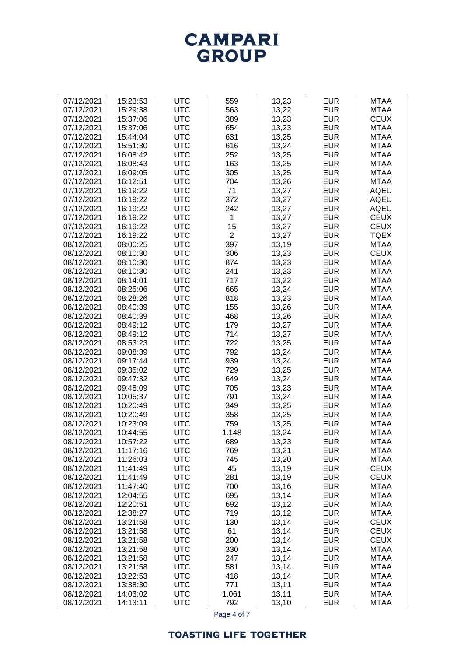

| 07/12/2021<br>15:23:53<br><b>UTC</b><br>559<br>13,23<br><b>EUR</b><br><b>UTC</b><br>563<br><b>EUR</b><br>07/12/2021<br>15:29:38<br>13,22<br><b>UTC</b><br><b>EUR</b><br>07/12/2021<br>15:37:06<br>389<br>13,23<br><b>UTC</b><br>654<br>13,23<br><b>EUR</b><br>07/12/2021<br>15:37:06<br><b>UTC</b><br>631<br>13,25<br><b>EUR</b><br>07/12/2021<br>15:44:04<br><b>UTC</b><br>616<br>13,24<br><b>EUR</b><br>07/12/2021<br>15:51:30<br><b>UTC</b><br>252<br>13,25<br><b>EUR</b><br>07/12/2021<br>16:08:42<br>07/12/2021<br><b>UTC</b><br>163<br>13,25<br><b>EUR</b><br>16:08:43<br><b>UTC</b><br>305<br>13,25<br><b>EUR</b><br>07/12/2021<br>16:09:05<br><b>UTC</b><br>07/12/2021<br>704<br>13,26<br><b>EUR</b><br>16:12:51<br><b>UTC</b><br>71<br><b>EUR</b><br>07/12/2021<br>16:19:22<br>13,27<br><b>UTC</b><br>372<br><b>EUR</b><br>07/12/2021<br>16:19:22<br>13,27<br><b>UTC</b><br><b>EUR</b><br>07/12/2021<br>16:19:22<br>242<br>13,27<br><b>UTC</b><br><b>EUR</b><br>07/12/2021<br>16:19:22<br>13,27<br>1<br>15<br><b>EUR</b><br>07/12/2021<br>16:19:22<br><b>UTC</b><br>13,27<br>$\overline{2}$<br>13,27<br><b>EUR</b><br>07/12/2021<br>16:19:22<br><b>UTC</b><br><b>UTC</b><br>397<br>13,19<br><b>EUR</b><br>08/12/2021<br>08:00:25<br><b>UTC</b><br>306<br><b>EUR</b><br>08/12/2021<br>08:10:30<br>13,23<br><b>UTC</b><br><b>EUR</b><br>08/12/2021<br>874<br>13,23<br>08:10:30<br>08/12/2021<br><b>UTC</b><br>241<br>13,23<br><b>EUR</b><br>08:10:30<br><b>UTC</b><br>08/12/2021<br>717<br>13,22<br><b>EUR</b><br>08:14:01<br><b>UTC</b><br>08/12/2021<br>665<br>13,24<br><b>EUR</b><br>08:25:06<br><b>UTC</b><br>13,23<br><b>EUR</b><br>08/12/2021<br>08:28:26<br>818<br><b>UTC</b><br><b>EUR</b><br>08/12/2021<br>08:40:39<br>155<br>13,26<br><b>UTC</b><br>468<br>13,26<br><b>EUR</b><br>08/12/2021<br>08:40:39<br><b>UTC</b><br><b>EUR</b><br>08/12/2021<br>08:49:12<br>179<br>13,27<br><b>UTC</b><br>13,27<br><b>EUR</b><br>08/12/2021<br>08:49:12<br>714<br><b>UTC</b><br>722<br>13,25<br><b>EUR</b><br>08/12/2021<br>08:53:23<br><b>UTC</b><br>792<br><b>EUR</b><br>08/12/2021<br>09:08:39<br>13,24 | <b>MTAA</b><br><b>MTAA</b><br><b>CEUX</b> |
|-------------------------------------------------------------------------------------------------------------------------------------------------------------------------------------------------------------------------------------------------------------------------------------------------------------------------------------------------------------------------------------------------------------------------------------------------------------------------------------------------------------------------------------------------------------------------------------------------------------------------------------------------------------------------------------------------------------------------------------------------------------------------------------------------------------------------------------------------------------------------------------------------------------------------------------------------------------------------------------------------------------------------------------------------------------------------------------------------------------------------------------------------------------------------------------------------------------------------------------------------------------------------------------------------------------------------------------------------------------------------------------------------------------------------------------------------------------------------------------------------------------------------------------------------------------------------------------------------------------------------------------------------------------------------------------------------------------------------------------------------------------------------------------------------------------------------------------------------------------------------------------------------------------------------------------------------------------------------------------------------------------------------------------------------------------------------------------------------------------------|-------------------------------------------|
|                                                                                                                                                                                                                                                                                                                                                                                                                                                                                                                                                                                                                                                                                                                                                                                                                                                                                                                                                                                                                                                                                                                                                                                                                                                                                                                                                                                                                                                                                                                                                                                                                                                                                                                                                                                                                                                                                                                                                                                                                                                                                                                   |                                           |
|                                                                                                                                                                                                                                                                                                                                                                                                                                                                                                                                                                                                                                                                                                                                                                                                                                                                                                                                                                                                                                                                                                                                                                                                                                                                                                                                                                                                                                                                                                                                                                                                                                                                                                                                                                                                                                                                                                                                                                                                                                                                                                                   |                                           |
|                                                                                                                                                                                                                                                                                                                                                                                                                                                                                                                                                                                                                                                                                                                                                                                                                                                                                                                                                                                                                                                                                                                                                                                                                                                                                                                                                                                                                                                                                                                                                                                                                                                                                                                                                                                                                                                                                                                                                                                                                                                                                                                   |                                           |
|                                                                                                                                                                                                                                                                                                                                                                                                                                                                                                                                                                                                                                                                                                                                                                                                                                                                                                                                                                                                                                                                                                                                                                                                                                                                                                                                                                                                                                                                                                                                                                                                                                                                                                                                                                                                                                                                                                                                                                                                                                                                                                                   |                                           |
|                                                                                                                                                                                                                                                                                                                                                                                                                                                                                                                                                                                                                                                                                                                                                                                                                                                                                                                                                                                                                                                                                                                                                                                                                                                                                                                                                                                                                                                                                                                                                                                                                                                                                                                                                                                                                                                                                                                                                                                                                                                                                                                   | <b>MTAA</b>                               |
|                                                                                                                                                                                                                                                                                                                                                                                                                                                                                                                                                                                                                                                                                                                                                                                                                                                                                                                                                                                                                                                                                                                                                                                                                                                                                                                                                                                                                                                                                                                                                                                                                                                                                                                                                                                                                                                                                                                                                                                                                                                                                                                   | <b>MTAA</b>                               |
|                                                                                                                                                                                                                                                                                                                                                                                                                                                                                                                                                                                                                                                                                                                                                                                                                                                                                                                                                                                                                                                                                                                                                                                                                                                                                                                                                                                                                                                                                                                                                                                                                                                                                                                                                                                                                                                                                                                                                                                                                                                                                                                   |                                           |
|                                                                                                                                                                                                                                                                                                                                                                                                                                                                                                                                                                                                                                                                                                                                                                                                                                                                                                                                                                                                                                                                                                                                                                                                                                                                                                                                                                                                                                                                                                                                                                                                                                                                                                                                                                                                                                                                                                                                                                                                                                                                                                                   | <b>MTAA</b>                               |
|                                                                                                                                                                                                                                                                                                                                                                                                                                                                                                                                                                                                                                                                                                                                                                                                                                                                                                                                                                                                                                                                                                                                                                                                                                                                                                                                                                                                                                                                                                                                                                                                                                                                                                                                                                                                                                                                                                                                                                                                                                                                                                                   | <b>MTAA</b>                               |
|                                                                                                                                                                                                                                                                                                                                                                                                                                                                                                                                                                                                                                                                                                                                                                                                                                                                                                                                                                                                                                                                                                                                                                                                                                                                                                                                                                                                                                                                                                                                                                                                                                                                                                                                                                                                                                                                                                                                                                                                                                                                                                                   | <b>MTAA</b>                               |
|                                                                                                                                                                                                                                                                                                                                                                                                                                                                                                                                                                                                                                                                                                                                                                                                                                                                                                                                                                                                                                                                                                                                                                                                                                                                                                                                                                                                                                                                                                                                                                                                                                                                                                                                                                                                                                                                                                                                                                                                                                                                                                                   | <b>MTAA</b>                               |
|                                                                                                                                                                                                                                                                                                                                                                                                                                                                                                                                                                                                                                                                                                                                                                                                                                                                                                                                                                                                                                                                                                                                                                                                                                                                                                                                                                                                                                                                                                                                                                                                                                                                                                                                                                                                                                                                                                                                                                                                                                                                                                                   |                                           |
|                                                                                                                                                                                                                                                                                                                                                                                                                                                                                                                                                                                                                                                                                                                                                                                                                                                                                                                                                                                                                                                                                                                                                                                                                                                                                                                                                                                                                                                                                                                                                                                                                                                                                                                                                                                                                                                                                                                                                                                                                                                                                                                   | <b>MTAA</b>                               |
|                                                                                                                                                                                                                                                                                                                                                                                                                                                                                                                                                                                                                                                                                                                                                                                                                                                                                                                                                                                                                                                                                                                                                                                                                                                                                                                                                                                                                                                                                                                                                                                                                                                                                                                                                                                                                                                                                                                                                                                                                                                                                                                   | <b>AQEU</b>                               |
|                                                                                                                                                                                                                                                                                                                                                                                                                                                                                                                                                                                                                                                                                                                                                                                                                                                                                                                                                                                                                                                                                                                                                                                                                                                                                                                                                                                                                                                                                                                                                                                                                                                                                                                                                                                                                                                                                                                                                                                                                                                                                                                   | <b>AQEU</b>                               |
|                                                                                                                                                                                                                                                                                                                                                                                                                                                                                                                                                                                                                                                                                                                                                                                                                                                                                                                                                                                                                                                                                                                                                                                                                                                                                                                                                                                                                                                                                                                                                                                                                                                                                                                                                                                                                                                                                                                                                                                                                                                                                                                   | <b>AQEU</b>                               |
|                                                                                                                                                                                                                                                                                                                                                                                                                                                                                                                                                                                                                                                                                                                                                                                                                                                                                                                                                                                                                                                                                                                                                                                                                                                                                                                                                                                                                                                                                                                                                                                                                                                                                                                                                                                                                                                                                                                                                                                                                                                                                                                   | <b>CEUX</b>                               |
|                                                                                                                                                                                                                                                                                                                                                                                                                                                                                                                                                                                                                                                                                                                                                                                                                                                                                                                                                                                                                                                                                                                                                                                                                                                                                                                                                                                                                                                                                                                                                                                                                                                                                                                                                                                                                                                                                                                                                                                                                                                                                                                   |                                           |
|                                                                                                                                                                                                                                                                                                                                                                                                                                                                                                                                                                                                                                                                                                                                                                                                                                                                                                                                                                                                                                                                                                                                                                                                                                                                                                                                                                                                                                                                                                                                                                                                                                                                                                                                                                                                                                                                                                                                                                                                                                                                                                                   | <b>CEUX</b>                               |
|                                                                                                                                                                                                                                                                                                                                                                                                                                                                                                                                                                                                                                                                                                                                                                                                                                                                                                                                                                                                                                                                                                                                                                                                                                                                                                                                                                                                                                                                                                                                                                                                                                                                                                                                                                                                                                                                                                                                                                                                                                                                                                                   | <b>TQEX</b>                               |
|                                                                                                                                                                                                                                                                                                                                                                                                                                                                                                                                                                                                                                                                                                                                                                                                                                                                                                                                                                                                                                                                                                                                                                                                                                                                                                                                                                                                                                                                                                                                                                                                                                                                                                                                                                                                                                                                                                                                                                                                                                                                                                                   | <b>MTAA</b>                               |
|                                                                                                                                                                                                                                                                                                                                                                                                                                                                                                                                                                                                                                                                                                                                                                                                                                                                                                                                                                                                                                                                                                                                                                                                                                                                                                                                                                                                                                                                                                                                                                                                                                                                                                                                                                                                                                                                                                                                                                                                                                                                                                                   | <b>CEUX</b>                               |
|                                                                                                                                                                                                                                                                                                                                                                                                                                                                                                                                                                                                                                                                                                                                                                                                                                                                                                                                                                                                                                                                                                                                                                                                                                                                                                                                                                                                                                                                                                                                                                                                                                                                                                                                                                                                                                                                                                                                                                                                                                                                                                                   | <b>MTAA</b>                               |
|                                                                                                                                                                                                                                                                                                                                                                                                                                                                                                                                                                                                                                                                                                                                                                                                                                                                                                                                                                                                                                                                                                                                                                                                                                                                                                                                                                                                                                                                                                                                                                                                                                                                                                                                                                                                                                                                                                                                                                                                                                                                                                                   | <b>MTAA</b>                               |
|                                                                                                                                                                                                                                                                                                                                                                                                                                                                                                                                                                                                                                                                                                                                                                                                                                                                                                                                                                                                                                                                                                                                                                                                                                                                                                                                                                                                                                                                                                                                                                                                                                                                                                                                                                                                                                                                                                                                                                                                                                                                                                                   |                                           |
|                                                                                                                                                                                                                                                                                                                                                                                                                                                                                                                                                                                                                                                                                                                                                                                                                                                                                                                                                                                                                                                                                                                                                                                                                                                                                                                                                                                                                                                                                                                                                                                                                                                                                                                                                                                                                                                                                                                                                                                                                                                                                                                   | <b>MTAA</b>                               |
|                                                                                                                                                                                                                                                                                                                                                                                                                                                                                                                                                                                                                                                                                                                                                                                                                                                                                                                                                                                                                                                                                                                                                                                                                                                                                                                                                                                                                                                                                                                                                                                                                                                                                                                                                                                                                                                                                                                                                                                                                                                                                                                   | <b>MTAA</b>                               |
|                                                                                                                                                                                                                                                                                                                                                                                                                                                                                                                                                                                                                                                                                                                                                                                                                                                                                                                                                                                                                                                                                                                                                                                                                                                                                                                                                                                                                                                                                                                                                                                                                                                                                                                                                                                                                                                                                                                                                                                                                                                                                                                   | <b>MTAA</b>                               |
|                                                                                                                                                                                                                                                                                                                                                                                                                                                                                                                                                                                                                                                                                                                                                                                                                                                                                                                                                                                                                                                                                                                                                                                                                                                                                                                                                                                                                                                                                                                                                                                                                                                                                                                                                                                                                                                                                                                                                                                                                                                                                                                   | <b>MTAA</b>                               |
|                                                                                                                                                                                                                                                                                                                                                                                                                                                                                                                                                                                                                                                                                                                                                                                                                                                                                                                                                                                                                                                                                                                                                                                                                                                                                                                                                                                                                                                                                                                                                                                                                                                                                                                                                                                                                                                                                                                                                                                                                                                                                                                   | <b>MTAA</b>                               |
|                                                                                                                                                                                                                                                                                                                                                                                                                                                                                                                                                                                                                                                                                                                                                                                                                                                                                                                                                                                                                                                                                                                                                                                                                                                                                                                                                                                                                                                                                                                                                                                                                                                                                                                                                                                                                                                                                                                                                                                                                                                                                                                   |                                           |
|                                                                                                                                                                                                                                                                                                                                                                                                                                                                                                                                                                                                                                                                                                                                                                                                                                                                                                                                                                                                                                                                                                                                                                                                                                                                                                                                                                                                                                                                                                                                                                                                                                                                                                                                                                                                                                                                                                                                                                                                                                                                                                                   | <b>MTAA</b>                               |
|                                                                                                                                                                                                                                                                                                                                                                                                                                                                                                                                                                                                                                                                                                                                                                                                                                                                                                                                                                                                                                                                                                                                                                                                                                                                                                                                                                                                                                                                                                                                                                                                                                                                                                                                                                                                                                                                                                                                                                                                                                                                                                                   | <b>MTAA</b>                               |
|                                                                                                                                                                                                                                                                                                                                                                                                                                                                                                                                                                                                                                                                                                                                                                                                                                                                                                                                                                                                                                                                                                                                                                                                                                                                                                                                                                                                                                                                                                                                                                                                                                                                                                                                                                                                                                                                                                                                                                                                                                                                                                                   | <b>MTAA</b>                               |
|                                                                                                                                                                                                                                                                                                                                                                                                                                                                                                                                                                                                                                                                                                                                                                                                                                                                                                                                                                                                                                                                                                                                                                                                                                                                                                                                                                                                                                                                                                                                                                                                                                                                                                                                                                                                                                                                                                                                                                                                                                                                                                                   | <b>MTAA</b>                               |
| <b>UTC</b><br>939<br>13,24<br><b>EUR</b><br>08/12/2021<br>09:17:44                                                                                                                                                                                                                                                                                                                                                                                                                                                                                                                                                                                                                                                                                                                                                                                                                                                                                                                                                                                                                                                                                                                                                                                                                                                                                                                                                                                                                                                                                                                                                                                                                                                                                                                                                                                                                                                                                                                                                                                                                                                | <b>MTAA</b>                               |
| <b>UTC</b><br>729<br><b>EUR</b>                                                                                                                                                                                                                                                                                                                                                                                                                                                                                                                                                                                                                                                                                                                                                                                                                                                                                                                                                                                                                                                                                                                                                                                                                                                                                                                                                                                                                                                                                                                                                                                                                                                                                                                                                                                                                                                                                                                                                                                                                                                                                   |                                           |
| 13,25<br>08/12/2021<br>09:35:02                                                                                                                                                                                                                                                                                                                                                                                                                                                                                                                                                                                                                                                                                                                                                                                                                                                                                                                                                                                                                                                                                                                                                                                                                                                                                                                                                                                                                                                                                                                                                                                                                                                                                                                                                                                                                                                                                                                                                                                                                                                                                   | <b>MTAA</b>                               |
| <b>UTC</b><br>13,24<br><b>EUR</b><br>08/12/2021<br>09:47:32<br>649                                                                                                                                                                                                                                                                                                                                                                                                                                                                                                                                                                                                                                                                                                                                                                                                                                                                                                                                                                                                                                                                                                                                                                                                                                                                                                                                                                                                                                                                                                                                                                                                                                                                                                                                                                                                                                                                                                                                                                                                                                                | <b>MTAA</b>                               |
| <b>UTC</b><br>13,23<br><b>EUR</b><br>08/12/2021<br>09:48:09<br>705                                                                                                                                                                                                                                                                                                                                                                                                                                                                                                                                                                                                                                                                                                                                                                                                                                                                                                                                                                                                                                                                                                                                                                                                                                                                                                                                                                                                                                                                                                                                                                                                                                                                                                                                                                                                                                                                                                                                                                                                                                                | <b>MTAA</b>                               |
| <b>UTC</b><br>13,24<br><b>EUR</b><br>08/12/2021<br>10:05:37<br>791                                                                                                                                                                                                                                                                                                                                                                                                                                                                                                                                                                                                                                                                                                                                                                                                                                                                                                                                                                                                                                                                                                                                                                                                                                                                                                                                                                                                                                                                                                                                                                                                                                                                                                                                                                                                                                                                                                                                                                                                                                                | <b>MTAA</b>                               |
| <b>UTC</b><br>13,25<br>08/12/2021<br>10:20:49<br>349<br><b>EUR</b>                                                                                                                                                                                                                                                                                                                                                                                                                                                                                                                                                                                                                                                                                                                                                                                                                                                                                                                                                                                                                                                                                                                                                                                                                                                                                                                                                                                                                                                                                                                                                                                                                                                                                                                                                                                                                                                                                                                                                                                                                                                | <b>MTAA</b>                               |
| <b>UTC</b><br>08/12/2021<br>10:20:49<br>358<br>13,25<br><b>EUR</b>                                                                                                                                                                                                                                                                                                                                                                                                                                                                                                                                                                                                                                                                                                                                                                                                                                                                                                                                                                                                                                                                                                                                                                                                                                                                                                                                                                                                                                                                                                                                                                                                                                                                                                                                                                                                                                                                                                                                                                                                                                                | <b>MTAA</b>                               |
|                                                                                                                                                                                                                                                                                                                                                                                                                                                                                                                                                                                                                                                                                                                                                                                                                                                                                                                                                                                                                                                                                                                                                                                                                                                                                                                                                                                                                                                                                                                                                                                                                                                                                                                                                                                                                                                                                                                                                                                                                                                                                                                   |                                           |
| 08/12/2021<br>10:23:09<br><b>UTC</b><br>759<br>13,25<br><b>EUR</b>                                                                                                                                                                                                                                                                                                                                                                                                                                                                                                                                                                                                                                                                                                                                                                                                                                                                                                                                                                                                                                                                                                                                                                                                                                                                                                                                                                                                                                                                                                                                                                                                                                                                                                                                                                                                                                                                                                                                                                                                                                                | <b>MTAA</b>                               |
| <b>UTC</b><br><b>EUR</b><br>08/12/2021<br>10:44:55<br>1.148<br>13,24                                                                                                                                                                                                                                                                                                                                                                                                                                                                                                                                                                                                                                                                                                                                                                                                                                                                                                                                                                                                                                                                                                                                                                                                                                                                                                                                                                                                                                                                                                                                                                                                                                                                                                                                                                                                                                                                                                                                                                                                                                              | <b>MTAA</b>                               |
| 08/12/2021<br>10:57:22<br><b>UTC</b><br>689<br>13,23<br><b>EUR</b>                                                                                                                                                                                                                                                                                                                                                                                                                                                                                                                                                                                                                                                                                                                                                                                                                                                                                                                                                                                                                                                                                                                                                                                                                                                                                                                                                                                                                                                                                                                                                                                                                                                                                                                                                                                                                                                                                                                                                                                                                                                | <b>MTAA</b>                               |
| 08/12/2021<br>11:17:16<br><b>UTC</b><br>769<br>13,21<br><b>EUR</b>                                                                                                                                                                                                                                                                                                                                                                                                                                                                                                                                                                                                                                                                                                                                                                                                                                                                                                                                                                                                                                                                                                                                                                                                                                                                                                                                                                                                                                                                                                                                                                                                                                                                                                                                                                                                                                                                                                                                                                                                                                                | <b>MTAA</b>                               |
| 11:26:03<br><b>UTC</b><br>745<br><b>EUR</b><br>08/12/2021<br>13,20                                                                                                                                                                                                                                                                                                                                                                                                                                                                                                                                                                                                                                                                                                                                                                                                                                                                                                                                                                                                                                                                                                                                                                                                                                                                                                                                                                                                                                                                                                                                                                                                                                                                                                                                                                                                                                                                                                                                                                                                                                                | <b>MTAA</b>                               |
| <b>UTC</b><br>45<br>13,19<br><b>EUR</b><br>08/12/2021<br>11:41:49                                                                                                                                                                                                                                                                                                                                                                                                                                                                                                                                                                                                                                                                                                                                                                                                                                                                                                                                                                                                                                                                                                                                                                                                                                                                                                                                                                                                                                                                                                                                                                                                                                                                                                                                                                                                                                                                                                                                                                                                                                                 | <b>CEUX</b>                               |
|                                                                                                                                                                                                                                                                                                                                                                                                                                                                                                                                                                                                                                                                                                                                                                                                                                                                                                                                                                                                                                                                                                                                                                                                                                                                                                                                                                                                                                                                                                                                                                                                                                                                                                                                                                                                                                                                                                                                                                                                                                                                                                                   |                                           |
| <b>UTC</b><br>281<br><b>EUR</b><br>08/12/2021<br>11:41:49<br>13,19                                                                                                                                                                                                                                                                                                                                                                                                                                                                                                                                                                                                                                                                                                                                                                                                                                                                                                                                                                                                                                                                                                                                                                                                                                                                                                                                                                                                                                                                                                                                                                                                                                                                                                                                                                                                                                                                                                                                                                                                                                                | <b>CEUX</b>                               |
| <b>UTC</b><br>700<br>13,16<br><b>EUR</b><br>08/12/2021<br>11:47:40                                                                                                                                                                                                                                                                                                                                                                                                                                                                                                                                                                                                                                                                                                                                                                                                                                                                                                                                                                                                                                                                                                                                                                                                                                                                                                                                                                                                                                                                                                                                                                                                                                                                                                                                                                                                                                                                                                                                                                                                                                                | <b>MTAA</b>                               |
| <b>UTC</b><br>695<br>13,14<br><b>EUR</b><br>08/12/2021<br>12:04:55                                                                                                                                                                                                                                                                                                                                                                                                                                                                                                                                                                                                                                                                                                                                                                                                                                                                                                                                                                                                                                                                                                                                                                                                                                                                                                                                                                                                                                                                                                                                                                                                                                                                                                                                                                                                                                                                                                                                                                                                                                                | <b>MTAA</b>                               |
| <b>UTC</b><br>692<br><b>EUR</b><br>08/12/2021<br>12:20:51<br>13,12                                                                                                                                                                                                                                                                                                                                                                                                                                                                                                                                                                                                                                                                                                                                                                                                                                                                                                                                                                                                                                                                                                                                                                                                                                                                                                                                                                                                                                                                                                                                                                                                                                                                                                                                                                                                                                                                                                                                                                                                                                                | <b>MTAA</b>                               |
| <b>UTC</b><br>719<br>13,12<br><b>EUR</b><br>08/12/2021<br>12:38:27                                                                                                                                                                                                                                                                                                                                                                                                                                                                                                                                                                                                                                                                                                                                                                                                                                                                                                                                                                                                                                                                                                                                                                                                                                                                                                                                                                                                                                                                                                                                                                                                                                                                                                                                                                                                                                                                                                                                                                                                                                                | <b>MTAA</b>                               |
| <b>UTC</b><br>13,14<br>08/12/2021<br>130<br><b>EUR</b><br>13:21:58                                                                                                                                                                                                                                                                                                                                                                                                                                                                                                                                                                                                                                                                                                                                                                                                                                                                                                                                                                                                                                                                                                                                                                                                                                                                                                                                                                                                                                                                                                                                                                                                                                                                                                                                                                                                                                                                                                                                                                                                                                                | <b>CEUX</b>                               |
|                                                                                                                                                                                                                                                                                                                                                                                                                                                                                                                                                                                                                                                                                                                                                                                                                                                                                                                                                                                                                                                                                                                                                                                                                                                                                                                                                                                                                                                                                                                                                                                                                                                                                                                                                                                                                                                                                                                                                                                                                                                                                                                   |                                           |
| <b>UTC</b><br><b>EUR</b><br>08/12/2021<br>13:21:58<br>61<br>13,14                                                                                                                                                                                                                                                                                                                                                                                                                                                                                                                                                                                                                                                                                                                                                                                                                                                                                                                                                                                                                                                                                                                                                                                                                                                                                                                                                                                                                                                                                                                                                                                                                                                                                                                                                                                                                                                                                                                                                                                                                                                 | <b>CEUX</b>                               |
| <b>UTC</b><br>200<br><b>EUR</b><br>08/12/2021<br>13:21:58<br>13,14                                                                                                                                                                                                                                                                                                                                                                                                                                                                                                                                                                                                                                                                                                                                                                                                                                                                                                                                                                                                                                                                                                                                                                                                                                                                                                                                                                                                                                                                                                                                                                                                                                                                                                                                                                                                                                                                                                                                                                                                                                                | <b>CEUX</b>                               |
| <b>UTC</b><br>330<br>13,14<br>08/12/2021<br>13:21:58<br><b>EUR</b>                                                                                                                                                                                                                                                                                                                                                                                                                                                                                                                                                                                                                                                                                                                                                                                                                                                                                                                                                                                                                                                                                                                                                                                                                                                                                                                                                                                                                                                                                                                                                                                                                                                                                                                                                                                                                                                                                                                                                                                                                                                | <b>MTAA</b>                               |
| 13,14<br><b>UTC</b><br>247<br><b>EUR</b><br>08/12/2021<br>13:21:58                                                                                                                                                                                                                                                                                                                                                                                                                                                                                                                                                                                                                                                                                                                                                                                                                                                                                                                                                                                                                                                                                                                                                                                                                                                                                                                                                                                                                                                                                                                                                                                                                                                                                                                                                                                                                                                                                                                                                                                                                                                | <b>MTAA</b>                               |
| <b>UTC</b><br>581<br>13,14<br><b>EUR</b><br>08/12/2021<br>13:21:58                                                                                                                                                                                                                                                                                                                                                                                                                                                                                                                                                                                                                                                                                                                                                                                                                                                                                                                                                                                                                                                                                                                                                                                                                                                                                                                                                                                                                                                                                                                                                                                                                                                                                                                                                                                                                                                                                                                                                                                                                                                | <b>MTAA</b>                               |
|                                                                                                                                                                                                                                                                                                                                                                                                                                                                                                                                                                                                                                                                                                                                                                                                                                                                                                                                                                                                                                                                                                                                                                                                                                                                                                                                                                                                                                                                                                                                                                                                                                                                                                                                                                                                                                                                                                                                                                                                                                                                                                                   |                                           |
| <b>UTC</b><br>418<br>13,14<br><b>EUR</b><br>08/12/2021<br>13:22:53                                                                                                                                                                                                                                                                                                                                                                                                                                                                                                                                                                                                                                                                                                                                                                                                                                                                                                                                                                                                                                                                                                                                                                                                                                                                                                                                                                                                                                                                                                                                                                                                                                                                                                                                                                                                                                                                                                                                                                                                                                                | <b>MTAA</b>                               |
| <b>UTC</b><br>771<br><b>EUR</b><br>08/12/2021<br>13:38:30<br>13,11                                                                                                                                                                                                                                                                                                                                                                                                                                                                                                                                                                                                                                                                                                                                                                                                                                                                                                                                                                                                                                                                                                                                                                                                                                                                                                                                                                                                                                                                                                                                                                                                                                                                                                                                                                                                                                                                                                                                                                                                                                                | <b>MTAA</b>                               |
| <b>UTC</b><br>13,11<br><b>EUR</b><br>08/12/2021<br>14:03:02<br>1.061                                                                                                                                                                                                                                                                                                                                                                                                                                                                                                                                                                                                                                                                                                                                                                                                                                                                                                                                                                                                                                                                                                                                                                                                                                                                                                                                                                                                                                                                                                                                                                                                                                                                                                                                                                                                                                                                                                                                                                                                                                              | <b>MTAA</b>                               |
| 08/12/2021<br>792<br><b>EUR</b><br>14:13:11<br><b>UTC</b><br>13,10                                                                                                                                                                                                                                                                                                                                                                                                                                                                                                                                                                                                                                                                                                                                                                                                                                                                                                                                                                                                                                                                                                                                                                                                                                                                                                                                                                                                                                                                                                                                                                                                                                                                                                                                                                                                                                                                                                                                                                                                                                                | <b>MTAA</b>                               |

Page 4 of 7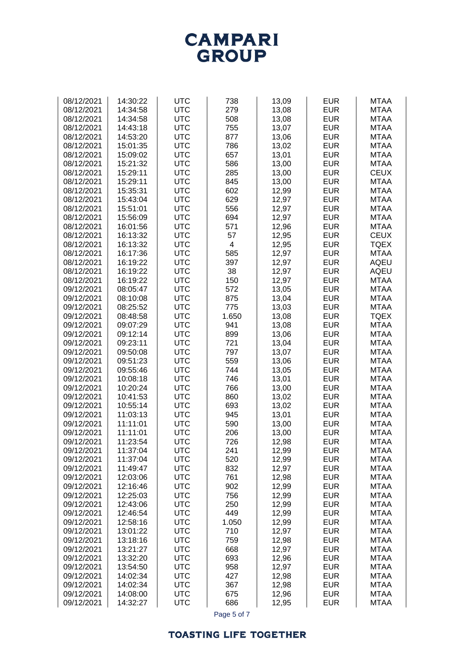

| 08/12/2021 | 14:30:22 | <b>UTC</b> | 738            | 13,09 | <b>EUR</b> | <b>MTAA</b> |
|------------|----------|------------|----------------|-------|------------|-------------|
| 08/12/2021 | 14:34:58 | <b>UTC</b> | 279            | 13,08 | <b>EUR</b> | <b>MTAA</b> |
|            |          |            |                |       |            |             |
| 08/12/2021 | 14:34:58 | <b>UTC</b> | 508            | 13,08 | <b>EUR</b> | <b>MTAA</b> |
| 08/12/2021 | 14:43:18 | <b>UTC</b> | 755            | 13,07 | <b>EUR</b> | <b>MTAA</b> |
| 08/12/2021 | 14:53:20 | <b>UTC</b> | 877            | 13,06 | <b>EUR</b> | <b>MTAA</b> |
| 08/12/2021 | 15:01:35 | <b>UTC</b> | 786            | 13,02 | <b>EUR</b> | <b>MTAA</b> |
| 08/12/2021 | 15:09:02 | <b>UTC</b> | 657            | 13,01 | <b>EUR</b> | <b>MTAA</b> |
| 08/12/2021 | 15:21:32 | <b>UTC</b> | 586            | 13,00 | <b>EUR</b> | <b>MTAA</b> |
|            |          |            |                |       |            |             |
| 08/12/2021 | 15:29:11 | <b>UTC</b> | 285            | 13,00 | <b>EUR</b> | <b>CEUX</b> |
| 08/12/2021 | 15:29:11 | <b>UTC</b> | 845            | 13,00 | <b>EUR</b> | <b>MTAA</b> |
| 08/12/2021 | 15:35:31 | <b>UTC</b> | 602            | 12,99 | <b>EUR</b> | <b>MTAA</b> |
| 08/12/2021 | 15:43:04 | <b>UTC</b> | 629            | 12,97 | <b>EUR</b> | <b>MTAA</b> |
| 08/12/2021 | 15:51:01 | <b>UTC</b> | 556            | 12,97 | <b>EUR</b> | <b>MTAA</b> |
| 08/12/2021 | 15:56:09 | <b>UTC</b> | 694            | 12,97 | <b>EUR</b> | <b>MTAA</b> |
| 08/12/2021 | 16:01:56 | <b>UTC</b> | 571            | 12,96 | <b>EUR</b> | <b>MTAA</b> |
|            |          |            |                |       |            |             |
| 08/12/2021 | 16:13:32 | <b>UTC</b> | 57             | 12,95 | <b>EUR</b> | <b>CEUX</b> |
| 08/12/2021 | 16:13:32 | <b>UTC</b> | $\overline{4}$ | 12,95 | <b>EUR</b> | <b>TQEX</b> |
| 08/12/2021 | 16:17:36 | <b>UTC</b> | 585            | 12,97 | <b>EUR</b> | <b>MTAA</b> |
| 08/12/2021 | 16:19:22 | <b>UTC</b> | 397            | 12,97 | <b>EUR</b> | <b>AQEU</b> |
| 08/12/2021 | 16:19:22 | <b>UTC</b> | 38             | 12,97 | <b>EUR</b> | <b>AQEU</b> |
| 08/12/2021 | 16:19:22 | <b>UTC</b> | 150            | 12,97 | <b>EUR</b> | <b>MTAA</b> |
| 09/12/2021 | 08:05:47 | <b>UTC</b> | 572            | 13,05 | <b>EUR</b> | <b>MTAA</b> |
| 09/12/2021 | 08:10:08 | <b>UTC</b> | 875            | 13,04 | <b>EUR</b> | <b>MTAA</b> |
|            |          |            |                |       |            |             |
| 09/12/2021 | 08:25:52 | <b>UTC</b> | 775            | 13,03 | <b>EUR</b> | <b>MTAA</b> |
| 09/12/2021 | 08:48:58 | <b>UTC</b> | 1.650          | 13,08 | <b>EUR</b> | <b>TQEX</b> |
| 09/12/2021 | 09:07:29 | <b>UTC</b> | 941            | 13,08 | <b>EUR</b> | <b>MTAA</b> |
| 09/12/2021 | 09:12:14 | <b>UTC</b> | 899            | 13,06 | <b>EUR</b> | <b>MTAA</b> |
| 09/12/2021 | 09:23:11 | <b>UTC</b> | 721            | 13,04 | <b>EUR</b> | <b>MTAA</b> |
| 09/12/2021 | 09:50:08 | <b>UTC</b> | 797            | 13,07 | <b>EUR</b> | <b>MTAA</b> |
| 09/12/2021 | 09:51:23 | <b>UTC</b> | 559            | 13,06 | <b>EUR</b> | <b>MTAA</b> |
| 09/12/2021 | 09:55:46 | <b>UTC</b> | 744            | 13,05 | <b>EUR</b> | <b>MTAA</b> |
|            |          |            |                |       |            |             |
| 09/12/2021 | 10:08:18 | <b>UTC</b> | 746            | 13,01 | <b>EUR</b> | <b>MTAA</b> |
| 09/12/2021 | 10:20:24 | <b>UTC</b> | 766            | 13,00 | <b>EUR</b> | <b>MTAA</b> |
| 09/12/2021 | 10:41:53 | <b>UTC</b> | 860            | 13,02 | <b>EUR</b> | <b>MTAA</b> |
| 09/12/2021 | 10:55:14 | <b>UTC</b> | 693            | 13,02 | <b>EUR</b> | <b>MTAA</b> |
| 09/12/2021 | 11:03:13 | <b>UTC</b> | 945            | 13,01 | <b>EUR</b> | <b>MTAA</b> |
| 09/12/2021 | 11:11:01 | <b>UTC</b> | 590            | 13,00 | <b>EUR</b> | <b>MTAA</b> |
| 09/12/2021 | 11:11:01 | <b>UTC</b> | 206            | 13,00 | <b>EUR</b> | <b>MTAA</b> |
| 09/12/2021 | 11:23:54 | UTC        | 726            | 12,98 | EUR        | MTAA        |
| 09/12/2021 | 11:37:04 | <b>UTC</b> | 241            | 12,99 | <b>EUR</b> | <b>MTAA</b> |
|            |          |            |                |       |            |             |
| 09/12/2021 | 11:37:04 | <b>UTC</b> | 520            | 12,99 | <b>EUR</b> | <b>MTAA</b> |
| 09/12/2021 | 11:49:47 | <b>UTC</b> | 832            | 12,97 | <b>EUR</b> | <b>MTAA</b> |
| 09/12/2021 | 12:03:06 | <b>UTC</b> | 761            | 12,98 | <b>EUR</b> | <b>MTAA</b> |
| 09/12/2021 | 12:16:46 | <b>UTC</b> | 902            | 12,99 | <b>EUR</b> | <b>MTAA</b> |
| 09/12/2021 | 12:25:03 | <b>UTC</b> | 756            | 12,99 | <b>EUR</b> | <b>MTAA</b> |
| 09/12/2021 | 12:43:06 | <b>UTC</b> | 250            | 12,99 | <b>EUR</b> | <b>MTAA</b> |
| 09/12/2021 | 12:46:54 | <b>UTC</b> | 449            | 12,99 | <b>EUR</b> | <b>MTAA</b> |
| 09/12/2021 | 12:58:16 | <b>UTC</b> | 1.050          | 12,99 | <b>EUR</b> | <b>MTAA</b> |
| 09/12/2021 | 13:01:22 | <b>UTC</b> | 710            | 12,97 | <b>EUR</b> | <b>MTAA</b> |
|            |          |            |                |       |            |             |
| 09/12/2021 | 13:18:16 | <b>UTC</b> | 759            | 12,98 | <b>EUR</b> | <b>MTAA</b> |
| 09/12/2021 | 13:21:27 | <b>UTC</b> | 668            | 12,97 | <b>EUR</b> | <b>MTAA</b> |
| 09/12/2021 | 13:32:20 | <b>UTC</b> | 693            | 12,96 | <b>EUR</b> | <b>MTAA</b> |
| 09/12/2021 | 13:54:50 | <b>UTC</b> | 958            | 12,97 | <b>EUR</b> | <b>MTAA</b> |
| 09/12/2021 | 14:02:34 | <b>UTC</b> | 427            | 12,98 | <b>EUR</b> | <b>MTAA</b> |
| 09/12/2021 | 14:02:34 | <b>UTC</b> | 367            | 12,98 | <b>EUR</b> | <b>MTAA</b> |
| 09/12/2021 | 14:08:00 | <b>UTC</b> | 675            | 12,96 | <b>EUR</b> | <b>MTAA</b> |
| 09/12/2021 | 14:32:27 | <b>UTC</b> | 686            | 12,95 | <b>EUR</b> | <b>MTAA</b> |
|            |          |            |                |       |            |             |

Page 5 of 7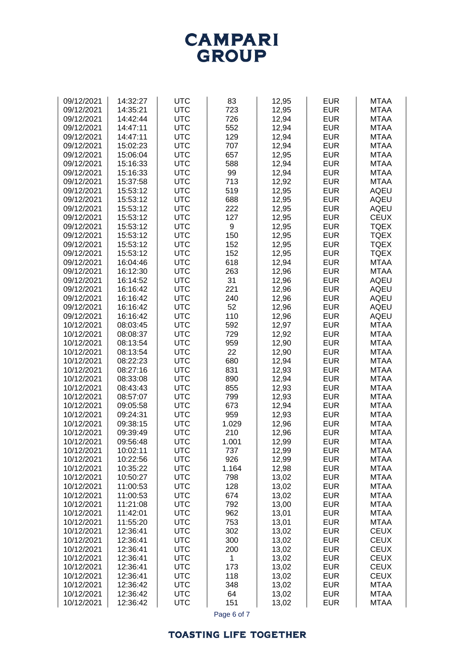#### **TOASTING LIFE TOGETHER**

| 09/12/2021 | 14:42:44 | <b>UTC</b> | 726         | 12,94 | <b>EUR</b> | <b>MTAA</b> |
|------------|----------|------------|-------------|-------|------------|-------------|
| 09/12/2021 | 14:47:11 | <b>UTC</b> | 552         | 12,94 | <b>EUR</b> | <b>MTAA</b> |
| 09/12/2021 | 14:47:11 | <b>UTC</b> | 129         | 12,94 | <b>EUR</b> | <b>MTAA</b> |
| 09/12/2021 | 15:02:23 | <b>UTC</b> | 707         | 12,94 | <b>EUR</b> | <b>MTAA</b> |
| 09/12/2021 | 15:06:04 | <b>UTC</b> | 657         | 12,95 | <b>EUR</b> | <b>MTAA</b> |
| 09/12/2021 | 15:16:33 | <b>UTC</b> | 588         | 12,94 | <b>EUR</b> | <b>MTAA</b> |
| 09/12/2021 | 15:16:33 | <b>UTC</b> | 99          | 12,94 | <b>EUR</b> | <b>MTAA</b> |
| 09/12/2021 | 15:37:58 | <b>UTC</b> | 713         | 12,92 | <b>EUR</b> | <b>MTAA</b> |
| 09/12/2021 | 15:53:12 | <b>UTC</b> | 519         | 12,95 | <b>EUR</b> | <b>AQEU</b> |
| 09/12/2021 | 15:53:12 | <b>UTC</b> | 688         | 12,95 | <b>EUR</b> | <b>AQEU</b> |
| 09/12/2021 | 15:53:12 | <b>UTC</b> | 222         | 12,95 | <b>EUR</b> | <b>AQEU</b> |
| 09/12/2021 | 15:53:12 | <b>UTC</b> | 127         | 12,95 | <b>EUR</b> | <b>CEUX</b> |
| 09/12/2021 | 15:53:12 | <b>UTC</b> | 9           | 12,95 | <b>EUR</b> | <b>TQEX</b> |
| 09/12/2021 | 15:53:12 | <b>UTC</b> | 150         | 12,95 | <b>EUR</b> | <b>TQEX</b> |
| 09/12/2021 | 15:53:12 | <b>UTC</b> | 152         | 12,95 | <b>EUR</b> | <b>TQEX</b> |
|            | 15:53:12 | <b>UTC</b> | 152         | 12,95 | <b>EUR</b> | <b>TQEX</b> |
| 09/12/2021 |          |            |             |       |            |             |
| 09/12/2021 | 16:04:46 | <b>UTC</b> | 618         | 12,94 | <b>EUR</b> | <b>MTAA</b> |
| 09/12/2021 | 16:12:30 | <b>UTC</b> | 263         | 12,96 | <b>EUR</b> | <b>MTAA</b> |
| 09/12/2021 | 16:14:52 | <b>UTC</b> | 31          | 12,96 | <b>EUR</b> | <b>AQEU</b> |
| 09/12/2021 | 16:16:42 | <b>UTC</b> | 221         | 12,96 | <b>EUR</b> | <b>AQEU</b> |
| 09/12/2021 | 16:16:42 | <b>UTC</b> | 240         | 12,96 | <b>EUR</b> | <b>AQEU</b> |
| 09/12/2021 | 16:16:42 | <b>UTC</b> | 52          | 12,96 | <b>EUR</b> | <b>AQEU</b> |
| 09/12/2021 | 16:16:42 | <b>UTC</b> | 110         | 12,96 | <b>EUR</b> | <b>AQEU</b> |
| 10/12/2021 | 08:03:45 | <b>UTC</b> | 592         | 12,97 | <b>EUR</b> | <b>MTAA</b> |
| 10/12/2021 | 08:08:37 | <b>UTC</b> | 729         | 12,92 | <b>EUR</b> | <b>MTAA</b> |
| 10/12/2021 | 08:13:54 | <b>UTC</b> | 959         | 12,90 | <b>EUR</b> | <b>MTAA</b> |
| 10/12/2021 | 08:13:54 | <b>UTC</b> | 22          | 12,90 | <b>EUR</b> | <b>MTAA</b> |
| 10/12/2021 | 08:22:23 | <b>UTC</b> | 680         | 12,94 | <b>EUR</b> | <b>MTAA</b> |
| 10/12/2021 | 08:27:16 | <b>UTC</b> | 831         | 12,93 | <b>EUR</b> | <b>MTAA</b> |
| 10/12/2021 | 08:33:08 | <b>UTC</b> | 890         | 12,94 | <b>EUR</b> | <b>MTAA</b> |
| 10/12/2021 | 08:43:43 | <b>UTC</b> | 855         | 12,93 | <b>EUR</b> | <b>MTAA</b> |
| 10/12/2021 | 08:57:07 | <b>UTC</b> | 799         | 12,93 | <b>EUR</b> | <b>MTAA</b> |
| 10/12/2021 | 09:05:58 | <b>UTC</b> | 673         | 12,94 | <b>EUR</b> | <b>MTAA</b> |
| 10/12/2021 | 09:24:31 | <b>UTC</b> | 959         | 12,93 | <b>EUR</b> | <b>MTAA</b> |
| 10/12/2021 | 09:38:15 | <b>UTC</b> | 1.029       | 12,96 | <b>EUR</b> | <b>MTAA</b> |
| 10/12/2021 | 09:39:49 | <b>UTC</b> | 210         | 12,96 | <b>EUR</b> | <b>MTAA</b> |
| 10/12/2021 | 09:56:48 | <b>UTC</b> | 1.001       | 12,99 | <b>EUR</b> | <b>MTAA</b> |
| 10/12/2021 | 10:02:11 | <b>UTC</b> | 737         | 12,99 | <b>EUR</b> | <b>MTAA</b> |
| 10/12/2021 | 10:22:56 | <b>UTC</b> | 926         | 12,99 | <b>EUR</b> | <b>MTAA</b> |
| 10/12/2021 | 10:35:22 | <b>UTC</b> | 1.164       | 12,98 | <b>EUR</b> | <b>MTAA</b> |
| 10/12/2021 | 10:50:27 | <b>UTC</b> | 798         | 13,02 | <b>EUR</b> | <b>MTAA</b> |
| 10/12/2021 | 11:00:53 | <b>UTC</b> | 128         | 13,02 | <b>EUR</b> | <b>MTAA</b> |
| 10/12/2021 | 11:00:53 | <b>UTC</b> | 674         | 13,02 | <b>EUR</b> | <b>MTAA</b> |
| 10/12/2021 | 11:21:08 | <b>UTC</b> | 792         | 13,00 | <b>EUR</b> | <b>MTAA</b> |
| 10/12/2021 | 11:42:01 | <b>UTC</b> | 962         | 13,01 | <b>EUR</b> | <b>MTAA</b> |
| 10/12/2021 | 11:55:20 | <b>UTC</b> | 753         | 13,01 | <b>EUR</b> | <b>MTAA</b> |
| 10/12/2021 | 12:36:41 | <b>UTC</b> | 302         | 13,02 | <b>EUR</b> | <b>CEUX</b> |
| 10/12/2021 | 12:36:41 | <b>UTC</b> | 300         | 13,02 | <b>EUR</b> | <b>CEUX</b> |
| 10/12/2021 | 12:36:41 | <b>UTC</b> | 200         | 13,02 | <b>EUR</b> | <b>CEUX</b> |
| 10/12/2021 | 12:36:41 | <b>UTC</b> | 1           | 13,02 | <b>EUR</b> | <b>CEUX</b> |
| 10/12/2021 | 12:36:41 | <b>UTC</b> | 173         | 13,02 | <b>EUR</b> | <b>CEUX</b> |
| 10/12/2021 | 12:36:41 | <b>UTC</b> | 118         | 13,02 | <b>EUR</b> | <b>CEUX</b> |
| 10/12/2021 | 12:36:42 | <b>UTC</b> | 348         | 13,02 | <b>EUR</b> | <b>MTAA</b> |
| 10/12/2021 | 12:36:42 | <b>UTC</b> | 64          | 13,02 | <b>EUR</b> | <b>MTAA</b> |
| 10/12/2021 | 12:36:42 | <b>UTC</b> | 151         | 13,02 | <b>EUR</b> | <b>MTAA</b> |
|            |          |            |             |       |            |             |
|            |          |            | Page 6 of 7 |       |            |             |



09/12/2021 | 14:32:27 | UTC | 83 | 12,95 | EUR | MTAA 09/12/2021 | 14:35:21 | UTC | 723 | 12,95 | EUR | MTAA